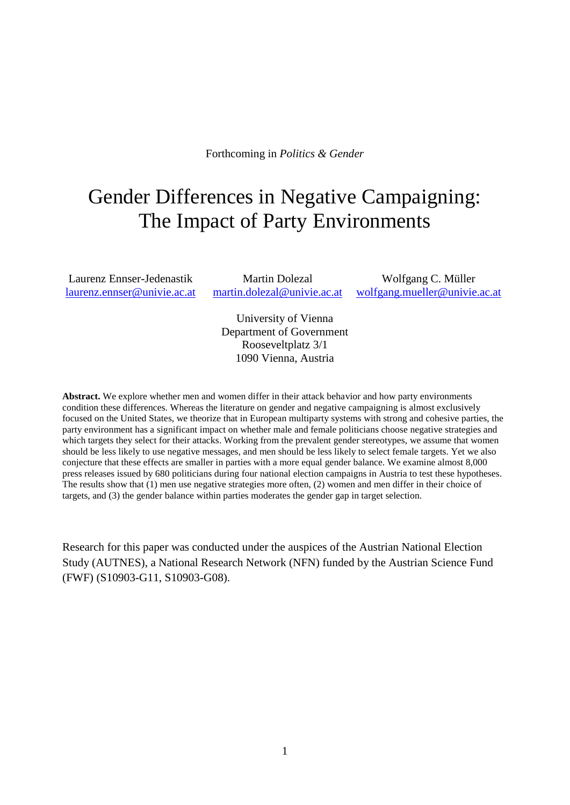Forthcoming in *Politics & Gender*

# Gender Differences in Negative Campaigning: The Impact of Party Environments

Laurenz Ennser-Jedenastik [laurenz.ennser@univie.ac.at](mailto:laurenz.ennser@univie.ac.at)

Martin Dolezal [martin.dolezal@univie.ac.at](mailto:martin.dolezal@univie.ac.at)

Wolfgang C. Müller [wolfgang.mueller@univie.ac.at](mailto:wolfgang.mueller@univie.ac.at)

University of Vienna Department of Government Rooseveltplatz 3/1 1090 Vienna, Austria

**Abstract.** We explore whether men and women differ in their attack behavior and how party environments condition these differences. Whereas the literature on gender and negative campaigning is almost exclusively focused on the United States, we theorize that in European multiparty systems with strong and cohesive parties, the party environment has a significant impact on whether male and female politicians choose negative strategies and which targets they select for their attacks. Working from the prevalent gender stereotypes, we assume that women should be less likely to use negative messages, and men should be less likely to select female targets. Yet we also conjecture that these effects are smaller in parties with a more equal gender balance. We examine almost 8,000 press releases issued by 680 politicians during four national election campaigns in Austria to test these hypotheses. The results show that (1) men use negative strategies more often, (2) women and men differ in their choice of targets, and (3) the gender balance within parties moderates the gender gap in target selection.

Research for this paper was conducted under the auspices of the Austrian National Election Study (AUTNES), a National Research Network (NFN) funded by the Austrian Science Fund (FWF) (S10903-G11, S10903-G08).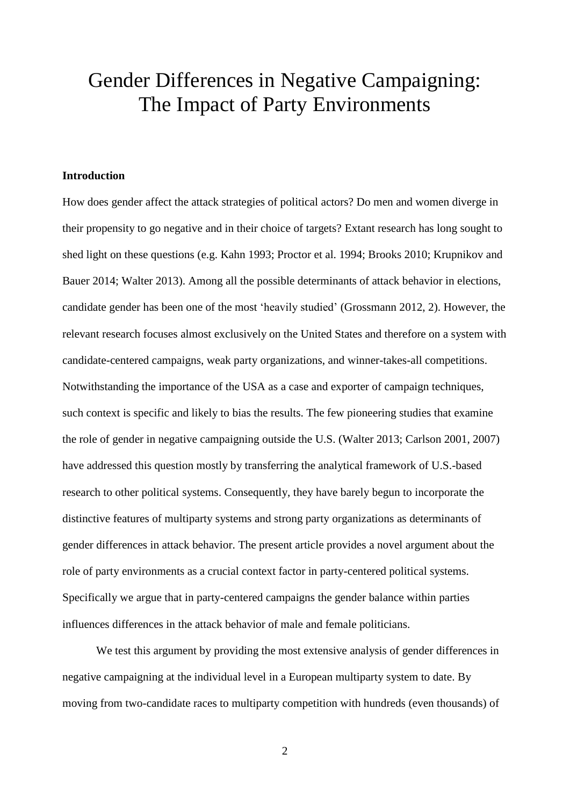# Gender Differences in Negative Campaigning: The Impact of Party Environments

## **Introduction**

How does gender affect the attack strategies of political actors? Do men and women diverge in their propensity to go negative and in their choice of targets? Extant research has long sought to shed light on these questions (e.g. Kahn 1993; Proctor et al. 1994; Brooks 2010; Krupnikov and Bauer 2014; Walter 2013). Among all the possible determinants of attack behavior in elections, candidate gender has been one of the most 'heavily studied' (Grossmann 2012, 2). However, the relevant research focuses almost exclusively on the United States and therefore on a system with candidate-centered campaigns, weak party organizations, and winner-takes-all competitions. Notwithstanding the importance of the USA as a case and exporter of campaign techniques, such context is specific and likely to bias the results. The few pioneering studies that examine the role of gender in negative campaigning outside the U.S. (Walter 2013; Carlson 2001, 2007) have addressed this question mostly by transferring the analytical framework of U.S.-based research to other political systems. Consequently, they have barely begun to incorporate the distinctive features of multiparty systems and strong party organizations as determinants of gender differences in attack behavior. The present article provides a novel argument about the role of party environments as a crucial context factor in party-centered political systems. Specifically we argue that in party-centered campaigns the gender balance within parties influences differences in the attack behavior of male and female politicians.

We test this argument by providing the most extensive analysis of gender differences in negative campaigning at the individual level in a European multiparty system to date. By moving from two-candidate races to multiparty competition with hundreds (even thousands) of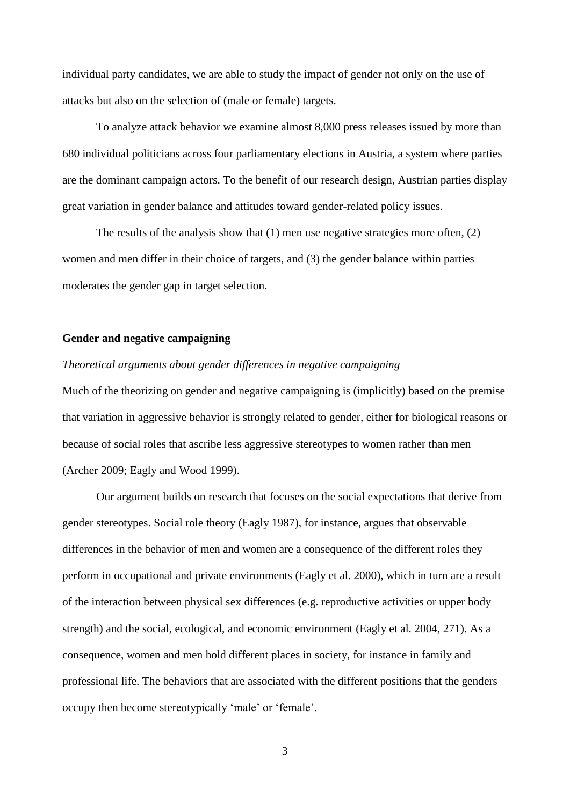individual party candidates, we are able to study the impact of gender not only on the use of attacks but also on the selection of (male or female) targets.

To analyze attack behavior we examine almost 8,000 press releases issued by more than 680 individual politicians across four parliamentary elections in Austria, a system where parties are the dominant campaign actors. To the benefit of our research design, Austrian parties display great variation in gender balance and attitudes toward gender-related policy issues.

The results of the analysis show that (1) men use negative strategies more often, (2) women and men differ in their choice of targets, and (3) the gender balance within parties moderates the gender gap in target selection.

#### **Gender and negative campaigning**

#### *Theoretical arguments about gender differences in negative campaigning*

Much of the theorizing on gender and negative campaigning is (implicitly) based on the premise that variation in aggressive behavior is strongly related to gender, either for biological reasons or because of social roles that ascribe less aggressive stereotypes to women rather than men (Archer 2009; Eagly and Wood 1999).

Our argument builds on research that focuses on the social expectations that derive from gender stereotypes. Social role theory (Eagly 1987), for instance, argues that observable differences in the behavior of men and women are a consequence of the different roles they perform in occupational and private environments (Eagly et al. 2000), which in turn are a result of the interaction between physical sex differences (e.g. reproductive activities or upper body strength) and the social, ecological, and economic environment (Eagly et al. 2004, 271). As a consequence, women and men hold different places in society, for instance in family and professional life. The behaviors that are associated with the different positions that the genders occupy then become stereotypically 'male' or 'female'.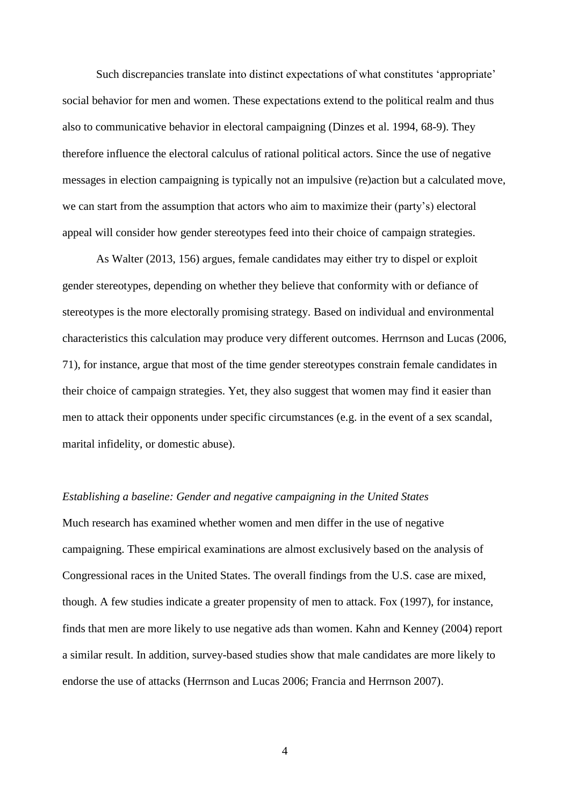Such discrepancies translate into distinct expectations of what constitutes 'appropriate' social behavior for men and women. These expectations extend to the political realm and thus also to communicative behavior in electoral campaigning (Dinzes et al. 1994, 68-9). They therefore influence the electoral calculus of rational political actors. Since the use of negative messages in election campaigning is typically not an impulsive (re)action but a calculated move, we can start from the assumption that actors who aim to maximize their (party's) electoral appeal will consider how gender stereotypes feed into their choice of campaign strategies.

As Walter (2013, 156) argues, female candidates may either try to dispel or exploit gender stereotypes, depending on whether they believe that conformity with or defiance of stereotypes is the more electorally promising strategy. Based on individual and environmental characteristics this calculation may produce very different outcomes. Herrnson and Lucas (2006, 71), for instance, argue that most of the time gender stereotypes constrain female candidates in their choice of campaign strategies. Yet, they also suggest that women may find it easier than men to attack their opponents under specific circumstances (e.g. in the event of a sex scandal, marital infidelity, or domestic abuse).

#### *Establishing a baseline: Gender and negative campaigning in the United States*

Much research has examined whether women and men differ in the use of negative campaigning. These empirical examinations are almost exclusively based on the analysis of Congressional races in the United States. The overall findings from the U.S. case are mixed, though. A few studies indicate a greater propensity of men to attack. Fox (1997), for instance, finds that men are more likely to use negative ads than women. Kahn and Kenney (2004) report a similar result. In addition, survey-based studies show that male candidates are more likely to endorse the use of attacks (Herrnson and Lucas 2006; Francia and Herrnson 2007).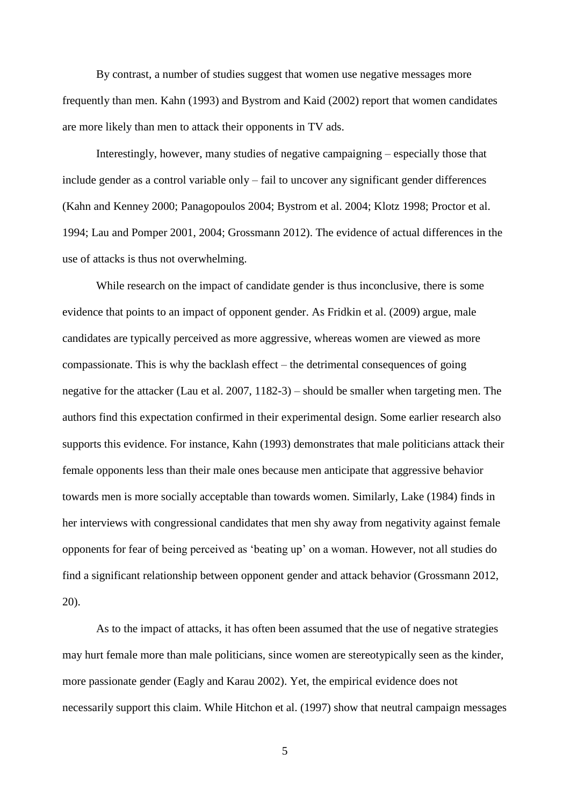By contrast, a number of studies suggest that women use negative messages more frequently than men. Kahn (1993) and Bystrom and Kaid (2002) report that women candidates are more likely than men to attack their opponents in TV ads.

Interestingly, however, many studies of negative campaigning – especially those that include gender as a control variable only – fail to uncover any significant gender differences (Kahn and Kenney 2000; Panagopoulos 2004; Bystrom et al. 2004; Klotz 1998; Proctor et al. 1994; Lau and Pomper 2001, 2004; Grossmann 2012). The evidence of actual differences in the use of attacks is thus not overwhelming.

While research on the impact of candidate gender is thus inconclusive, there is some evidence that points to an impact of opponent gender. As Fridkin et al. (2009) argue, male candidates are typically perceived as more aggressive, whereas women are viewed as more compassionate. This is why the backlash effect – the detrimental consequences of going negative for the attacker (Lau et al. 2007, 1182-3) – should be smaller when targeting men. The authors find this expectation confirmed in their experimental design. Some earlier research also supports this evidence. For instance, Kahn (1993) demonstrates that male politicians attack their female opponents less than their male ones because men anticipate that aggressive behavior towards men is more socially acceptable than towards women. Similarly, Lake (1984) finds in her interviews with congressional candidates that men shy away from negativity against female opponents for fear of being perceived as ‗beating up' on a woman. However, not all studies do find a significant relationship between opponent gender and attack behavior (Grossmann 2012, 20).

As to the impact of attacks, it has often been assumed that the use of negative strategies may hurt female more than male politicians, since women are stereotypically seen as the kinder, more passionate gender (Eagly and Karau 2002). Yet, the empirical evidence does not necessarily support this claim. While Hitchon et al. (1997) show that neutral campaign messages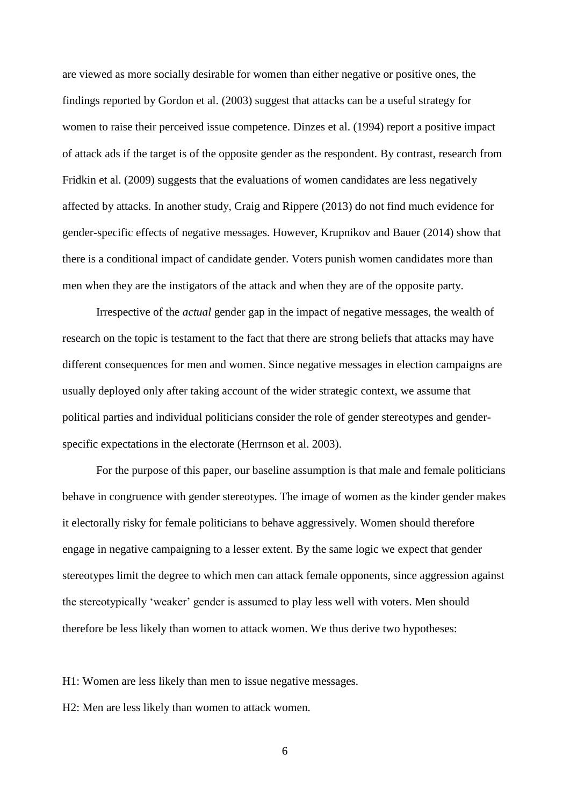are viewed as more socially desirable for women than either negative or positive ones, the findings reported by Gordon et al. (2003) suggest that attacks can be a useful strategy for women to raise their perceived issue competence. Dinzes et al. (1994) report a positive impact of attack ads if the target is of the opposite gender as the respondent. By contrast, research from Fridkin et al. (2009) suggests that the evaluations of women candidates are less negatively affected by attacks. In another study, Craig and Rippere (2013) do not find much evidence for gender-specific effects of negative messages. However, Krupnikov and Bauer (2014) show that there is a conditional impact of candidate gender. Voters punish women candidates more than men when they are the instigators of the attack and when they are of the opposite party.

Irrespective of the *actual* gender gap in the impact of negative messages, the wealth of research on the topic is testament to the fact that there are strong beliefs that attacks may have different consequences for men and women. Since negative messages in election campaigns are usually deployed only after taking account of the wider strategic context, we assume that political parties and individual politicians consider the role of gender stereotypes and genderspecific expectations in the electorate (Herrnson et al. 2003).

For the purpose of this paper, our baseline assumption is that male and female politicians behave in congruence with gender stereotypes. The image of women as the kinder gender makes it electorally risky for female politicians to behave aggressively. Women should therefore engage in negative campaigning to a lesser extent. By the same logic we expect that gender stereotypes limit the degree to which men can attack female opponents, since aggression against the stereotypically 'weaker' gender is assumed to play less well with voters. Men should therefore be less likely than women to attack women. We thus derive two hypotheses:

H1: Women are less likely than men to issue negative messages.

H2: Men are less likely than women to attack women.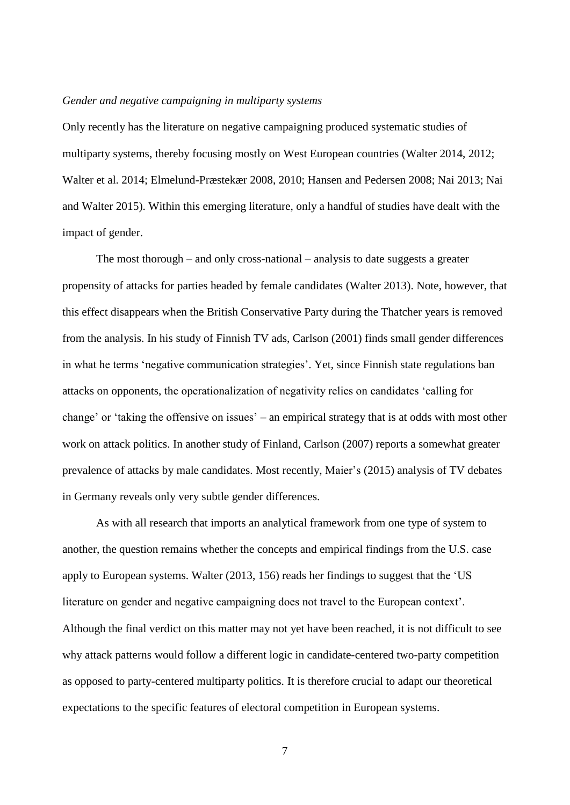#### *Gender and negative campaigning in multiparty systems*

Only recently has the literature on negative campaigning produced systematic studies of multiparty systems, thereby focusing mostly on West European countries (Walter 2014, 2012; Walter et al. 2014; Elmelund-Præstekær 2008, 2010; Hansen and Pedersen 2008; Nai 2013; Nai and Walter 2015). Within this emerging literature, only a handful of studies have dealt with the impact of gender.

The most thorough – and only cross-national – analysis to date suggests a greater propensity of attacks for parties headed by female candidates (Walter 2013). Note, however, that this effect disappears when the British Conservative Party during the Thatcher years is removed from the analysis. In his study of Finnish TV ads, Carlson (2001) finds small gender differences in what he terms 'negative communication strategies'. Yet, since Finnish state regulations ban attacks on opponents, the operationalization of negativity relies on candidates 'calling for change' or 'taking the offensive on issues' – an empirical strategy that is at odds with most other work on attack politics. In another study of Finland, Carlson (2007) reports a somewhat greater prevalence of attacks by male candidates. Most recently, Maier's (2015) analysis of TV debates in Germany reveals only very subtle gender differences.

As with all research that imports an analytical framework from one type of system to another, the question remains whether the concepts and empirical findings from the U.S. case apply to European systems. Walter (2013, 156) reads her findings to suggest that the 'US literature on gender and negative campaigning does not travel to the European context'. Although the final verdict on this matter may not yet have been reached, it is not difficult to see why attack patterns would follow a different logic in candidate-centered two-party competition as opposed to party-centered multiparty politics. It is therefore crucial to adapt our theoretical expectations to the specific features of electoral competition in European systems.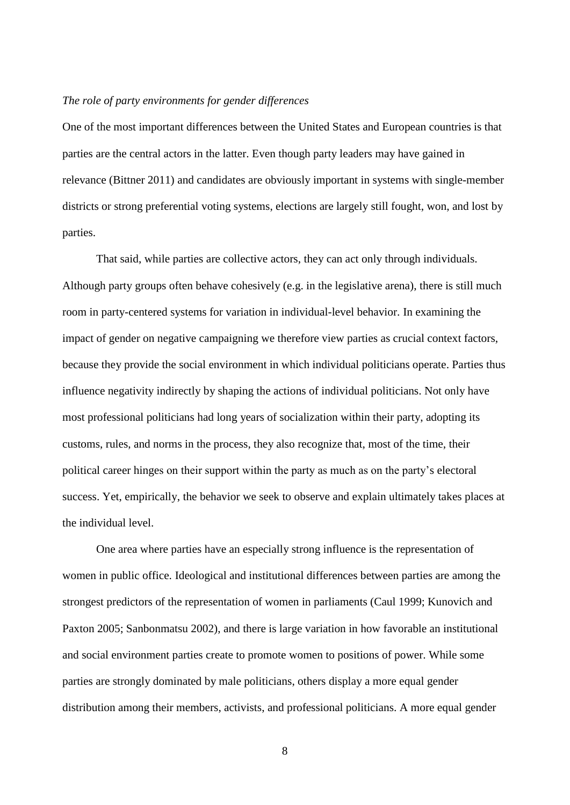## *The role of party environments for gender differences*

One of the most important differences between the United States and European countries is that parties are the central actors in the latter. Even though party leaders may have gained in relevance (Bittner 2011) and candidates are obviously important in systems with single-member districts or strong preferential voting systems, elections are largely still fought, won, and lost by parties.

That said, while parties are collective actors, they can act only through individuals. Although party groups often behave cohesively (e.g. in the legislative arena), there is still much room in party-centered systems for variation in individual-level behavior. In examining the impact of gender on negative campaigning we therefore view parties as crucial context factors, because they provide the social environment in which individual politicians operate. Parties thus influence negativity indirectly by shaping the actions of individual politicians. Not only have most professional politicians had long years of socialization within their party, adopting its customs, rules, and norms in the process, they also recognize that, most of the time, their political career hinges on their support within the party as much as on the party's electoral success. Yet, empirically, the behavior we seek to observe and explain ultimately takes places at the individual level.

One area where parties have an especially strong influence is the representation of women in public office. Ideological and institutional differences between parties are among the strongest predictors of the representation of women in parliaments (Caul 1999; Kunovich and Paxton 2005; Sanbonmatsu 2002), and there is large variation in how favorable an institutional and social environment parties create to promote women to positions of power. While some parties are strongly dominated by male politicians, others display a more equal gender distribution among their members, activists, and professional politicians. A more equal gender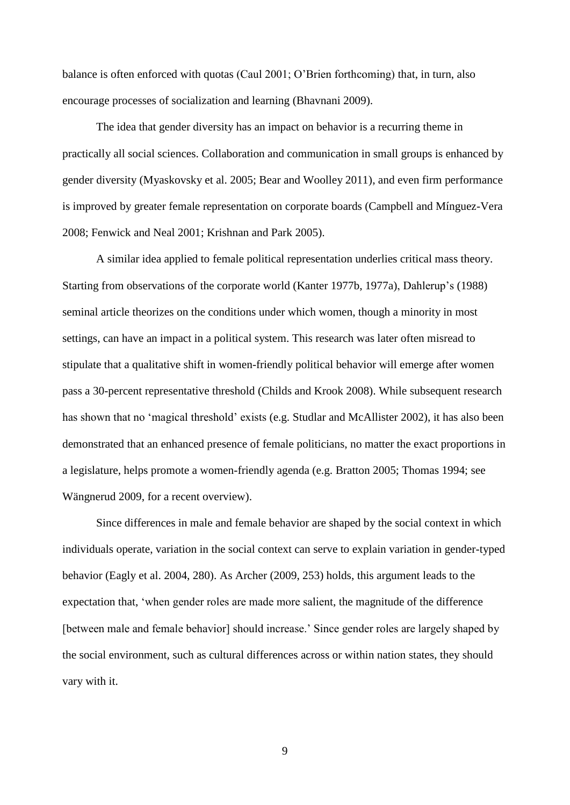balance is often enforced with quotas (Caul 2001; O'Brien forthcoming) that, in turn, also encourage processes of socialization and learning (Bhavnani 2009).

The idea that gender diversity has an impact on behavior is a recurring theme in practically all social sciences. Collaboration and communication in small groups is enhanced by gender diversity (Myaskovsky et al. 2005; Bear and Woolley 2011), and even firm performance is improved by greater female representation on corporate boards (Campbell and Mínguez-Vera 2008; Fenwick and Neal 2001; Krishnan and Park 2005).

A similar idea applied to female political representation underlies critical mass theory. Starting from observations of the corporate world (Kanter 1977b, 1977a), Dahlerup's (1988) seminal article theorizes on the conditions under which women, though a minority in most settings, can have an impact in a political system. This research was later often misread to stipulate that a qualitative shift in women-friendly political behavior will emerge after women pass a 30-percent representative threshold (Childs and Krook 2008). While subsequent research has shown that no 'magical threshold' exists (e.g. Studlar and McAllister 2002), it has also been demonstrated that an enhanced presence of female politicians, no matter the exact proportions in a legislature, helps promote a women-friendly agenda (e.g. Bratton 2005; Thomas 1994; see Wängnerud 2009, for a recent overview).

Since differences in male and female behavior are shaped by the social context in which individuals operate, variation in the social context can serve to explain variation in gender-typed behavior (Eagly et al. 2004, 280). As Archer (2009, 253) holds, this argument leads to the expectation that, 'when gender roles are made more salient, the magnitude of the difference [between male and female behavior] should increase.' Since gender roles are largely shaped by the social environment, such as cultural differences across or within nation states, they should vary with it.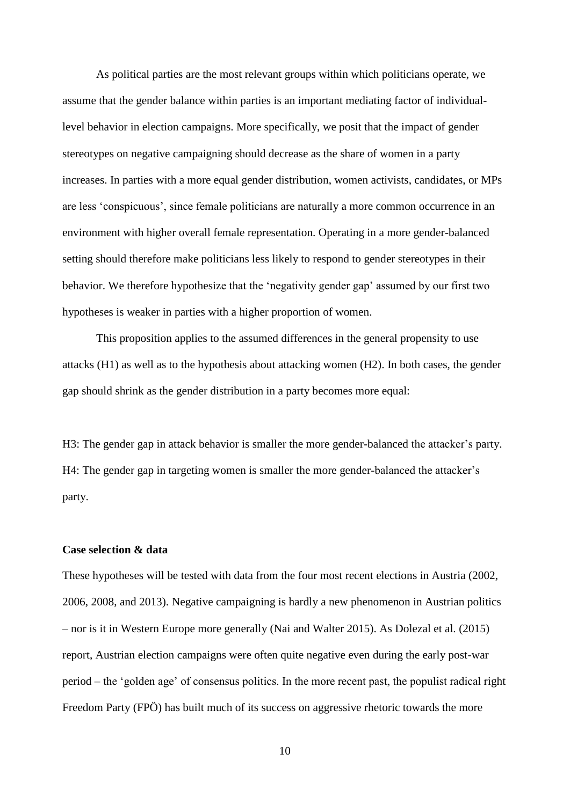As political parties are the most relevant groups within which politicians operate, we assume that the gender balance within parties is an important mediating factor of individuallevel behavior in election campaigns. More specifically, we posit that the impact of gender stereotypes on negative campaigning should decrease as the share of women in a party increases. In parties with a more equal gender distribution, women activists, candidates, or MPs are less ‗conspicuous', since female politicians are naturally a more common occurrence in an environment with higher overall female representation. Operating in a more gender-balanced setting should therefore make politicians less likely to respond to gender stereotypes in their behavior. We therefore hypothesize that the 'negativity gender gap' assumed by our first two hypotheses is weaker in parties with a higher proportion of women.

This proposition applies to the assumed differences in the general propensity to use attacks (H1) as well as to the hypothesis about attacking women (H2). In both cases, the gender gap should shrink as the gender distribution in a party becomes more equal:

H3: The gender gap in attack behavior is smaller the more gender-balanced the attacker's party. H4: The gender gap in targeting women is smaller the more gender-balanced the attacker's party.

## **Case selection & data**

These hypotheses will be tested with data from the four most recent elections in Austria (2002, 2006, 2008, and 2013). Negative campaigning is hardly a new phenomenon in Austrian politics – nor is it in Western Europe more generally (Nai and Walter 2015). As Dolezal et al. (2015) report, Austrian election campaigns were often quite negative even during the early post-war period – the ‗golden age' of consensus politics. In the more recent past, the populist radical right Freedom Party (FPÖ) has built much of its success on aggressive rhetoric towards the more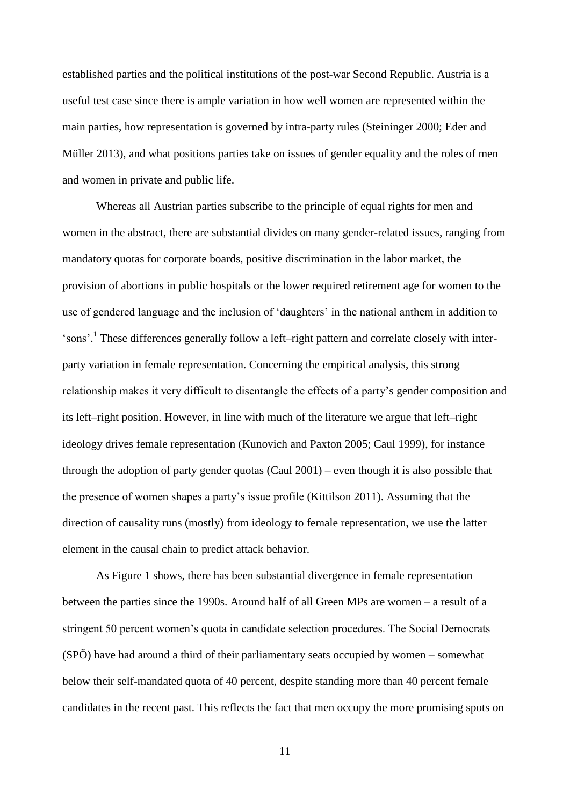established parties and the political institutions of the post-war Second Republic. Austria is a useful test case since there is ample variation in how well women are represented within the main parties, how representation is governed by intra-party rules (Steininger 2000; Eder and Müller 2013), and what positions parties take on issues of gender equality and the roles of men and women in private and public life.

Whereas all Austrian parties subscribe to the principle of equal rights for men and women in the abstract, there are substantial divides on many gender-related issues, ranging from mandatory quotas for corporate boards, positive discrimination in the labor market, the provision of abortions in public hospitals or the lower required retirement age for women to the use of gendered language and the inclusion of ‗daughters' in the national anthem in addition to 'sons'.<sup>1</sup> These differences generally follow a left-right pattern and correlate closely with interparty variation in female representation. Concerning the empirical analysis, this strong relationship makes it very difficult to disentangle the effects of a party's gender composition and its left–right position. However, in line with much of the literature we argue that left–right ideology drives female representation (Kunovich and Paxton 2005; Caul 1999), for instance through the adoption of party gender quotas (Caul 2001) – even though it is also possible that the presence of women shapes a party's issue profile (Kittilson 2011). Assuming that the direction of causality runs (mostly) from ideology to female representation, we use the latter element in the causal chain to predict attack behavior.

As Figure 1 shows, there has been substantial divergence in female representation between the parties since the 1990s. Around half of all Green MPs are women – a result of a stringent 50 percent women's quota in candidate selection procedures. The Social Democrats (SPÖ) have had around a third of their parliamentary seats occupied by women – somewhat below their self-mandated quota of 40 percent, despite standing more than 40 percent female candidates in the recent past. This reflects the fact that men occupy the more promising spots on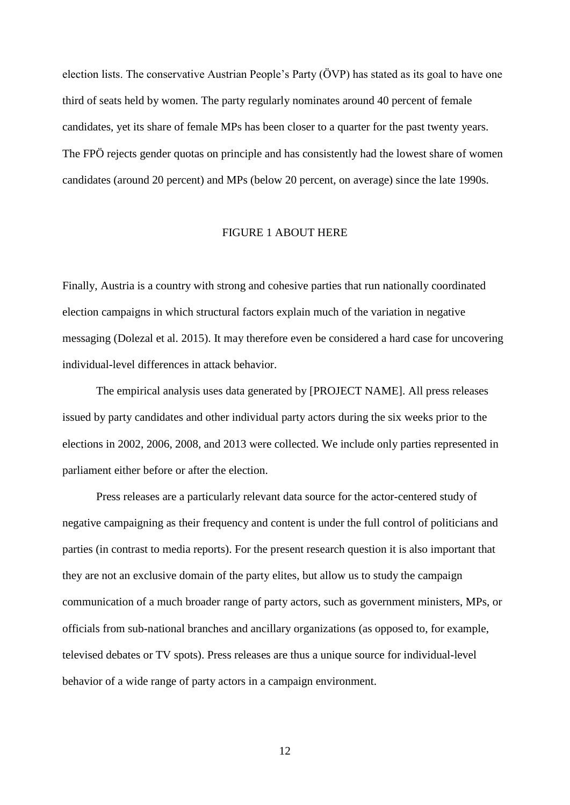election lists. The conservative Austrian People's Party (ÖVP) has stated as its goal to have one third of seats held by women. The party regularly nominates around 40 percent of female candidates, yet its share of female MPs has been closer to a quarter for the past twenty years. The FPÖ rejects gender quotas on principle and has consistently had the lowest share of women candidates (around 20 percent) and MPs (below 20 percent, on average) since the late 1990s.

#### FIGURE 1 ABOUT HERE

Finally, Austria is a country with strong and cohesive parties that run nationally coordinated election campaigns in which structural factors explain much of the variation in negative messaging (Dolezal et al. 2015). It may therefore even be considered a hard case for uncovering individual-level differences in attack behavior.

The empirical analysis uses data generated by [PROJECT NAME]. All press releases issued by party candidates and other individual party actors during the six weeks prior to the elections in 2002, 2006, 2008, and 2013 were collected. We include only parties represented in parliament either before or after the election.

Press releases are a particularly relevant data source for the actor-centered study of negative campaigning as their frequency and content is under the full control of politicians and parties (in contrast to media reports). For the present research question it is also important that they are not an exclusive domain of the party elites, but allow us to study the campaign communication of a much broader range of party actors, such as government ministers, MPs, or officials from sub-national branches and ancillary organizations (as opposed to, for example, televised debates or TV spots). Press releases are thus a unique source for individual-level behavior of a wide range of party actors in a campaign environment.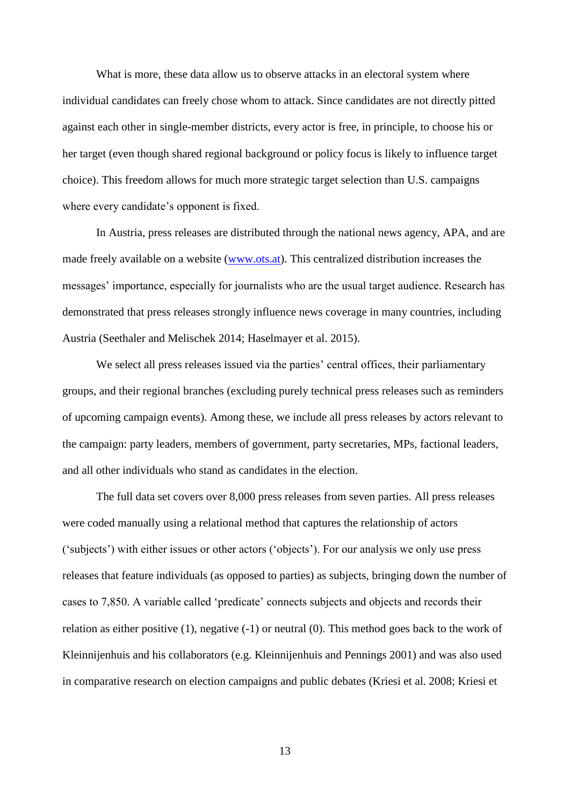What is more, these data allow us to observe attacks in an electoral system where individual candidates can freely chose whom to attack. Since candidates are not directly pitted against each other in single-member districts, every actor is free, in principle, to choose his or her target (even though shared regional background or policy focus is likely to influence target choice). This freedom allows for much more strategic target selection than U.S. campaigns where every candidate's opponent is fixed.

In Austria, press releases are distributed through the national news agency, APA, and are made freely available on a website [\(www.ots.at\)](http://www.ots.at/). This centralized distribution increases the messages' importance, especially for journalists who are the usual target audience. Research has demonstrated that press releases strongly influence news coverage in many countries, including Austria (Seethaler and Melischek 2014; Haselmayer et al. 2015).

We select all press releases issued via the parties' central offices, their parliamentary groups, and their regional branches (excluding purely technical press releases such as reminders of upcoming campaign events). Among these, we include all press releases by actors relevant to the campaign: party leaders, members of government, party secretaries, MPs, factional leaders, and all other individuals who stand as candidates in the election.

The full data set covers over 8,000 press releases from seven parties. All press releases were coded manually using a relational method that captures the relationship of actors (‗subjects') with either issues or other actors (‗objects'). For our analysis we only use press releases that feature individuals (as opposed to parties) as subjects, bringing down the number of cases to 7,850. A variable called 'predicate' connects subjects and objects and records their relation as either positive (1), negative (-1) or neutral (0). This method goes back to the work of Kleinnijenhuis and his collaborators (e.g. Kleinnijenhuis and Pennings 2001) and was also used in comparative research on election campaigns and public debates (Kriesi et al. 2008; Kriesi et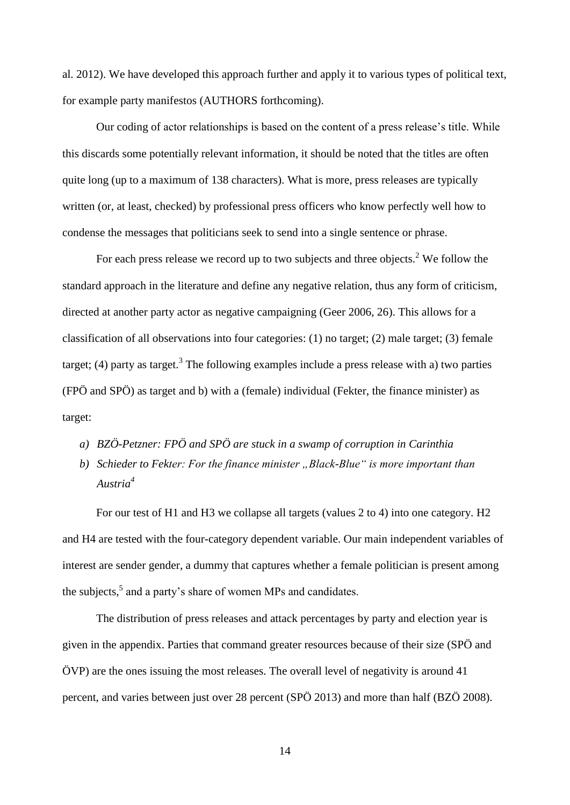al. 2012). We have developed this approach further and apply it to various types of political text, for example party manifestos (AUTHORS forthcoming).

Our coding of actor relationships is based on the content of a press release's title. While this discards some potentially relevant information, it should be noted that the titles are often quite long (up to a maximum of 138 characters). What is more, press releases are typically written (or, at least, checked) by professional press officers who know perfectly well how to condense the messages that politicians seek to send into a single sentence or phrase.

For each press release we record up to two subjects and three objects.<sup>2</sup> We follow the standard approach in the literature and define any negative relation, thus any form of criticism, directed at another party actor as negative campaigning (Geer 2006, 26). This allows for a classification of all observations into four categories: (1) no target; (2) male target; (3) female target; (4) party as target.<sup>3</sup> The following examples include a press release with a) two parties (FPÖ and SPÖ) as target and b) with a (female) individual (Fekter, the finance minister) as target:

- *a) BZÖ-Petzner: FPÖ and SPÖ are stuck in a swamp of corruption in Carinthia*
- *b*) *Schieder to Fekter: For the finance minister "Black-Blue" is more important than Austria<sup>4</sup>*

For our test of H1 and H3 we collapse all targets (values 2 to 4) into one category. H2 and H4 are tested with the four-category dependent variable. Our main independent variables of interest are sender gender, a dummy that captures whether a female politician is present among the subjects,<sup>5</sup> and a party's share of women MPs and candidates.

The distribution of press releases and attack percentages by party and election year is given in the appendix. Parties that command greater resources because of their size (SPÖ and ÖVP) are the ones issuing the most releases. The overall level of negativity is around 41 percent, and varies between just over 28 percent (SPÖ 2013) and more than half (BZÖ 2008).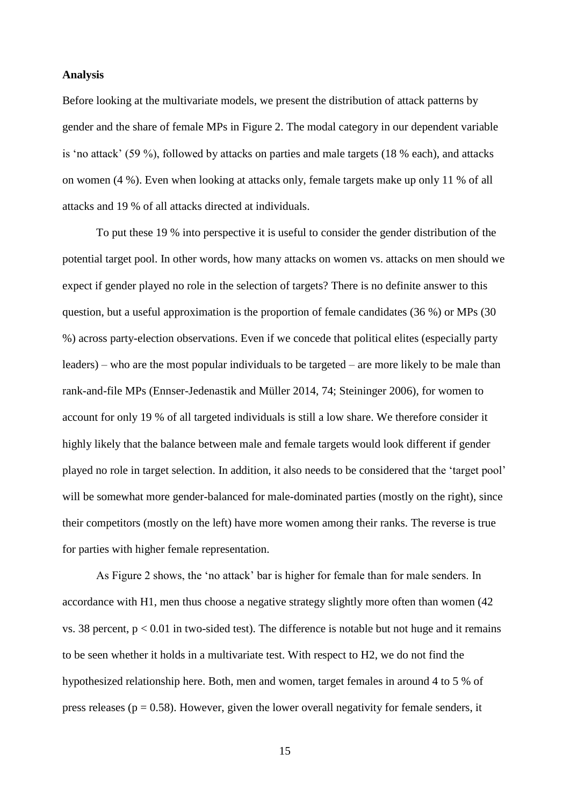#### **Analysis**

Before looking at the multivariate models, we present the distribution of attack patterns by gender and the share of female MPs in Figure 2. The modal category in our dependent variable is 'no attack' (59 %), followed by attacks on parties and male targets (18 % each), and attacks on women (4 %). Even when looking at attacks only, female targets make up only 11 % of all attacks and 19 % of all attacks directed at individuals.

To put these 19 % into perspective it is useful to consider the gender distribution of the potential target pool. In other words, how many attacks on women vs. attacks on men should we expect if gender played no role in the selection of targets? There is no definite answer to this question, but a useful approximation is the proportion of female candidates (36 %) or MPs (30 %) across party-election observations. Even if we concede that political elites (especially party leaders) – who are the most popular individuals to be targeted – are more likely to be male than rank-and-file MPs (Ennser-Jedenastik and Müller 2014, 74; Steininger 2006), for women to account for only 19 % of all targeted individuals is still a low share. We therefore consider it highly likely that the balance between male and female targets would look different if gender played no role in target selection. In addition, it also needs to be considered that the 'target pool' will be somewhat more gender-balanced for male-dominated parties (mostly on the right), since their competitors (mostly on the left) have more women among their ranks. The reverse is true for parties with higher female representation.

As Figure 2 shows, the 'no attack' bar is higher for female than for male senders. In accordance with H1, men thus choose a negative strategy slightly more often than women (42 vs. 38 percent,  $p < 0.01$  in two-sided test). The difference is notable but not huge and it remains to be seen whether it holds in a multivariate test. With respect to H2, we do not find the hypothesized relationship here. Both, men and women, target females in around 4 to 5 % of press releases ( $p = 0.58$ ). However, given the lower overall negativity for female senders, it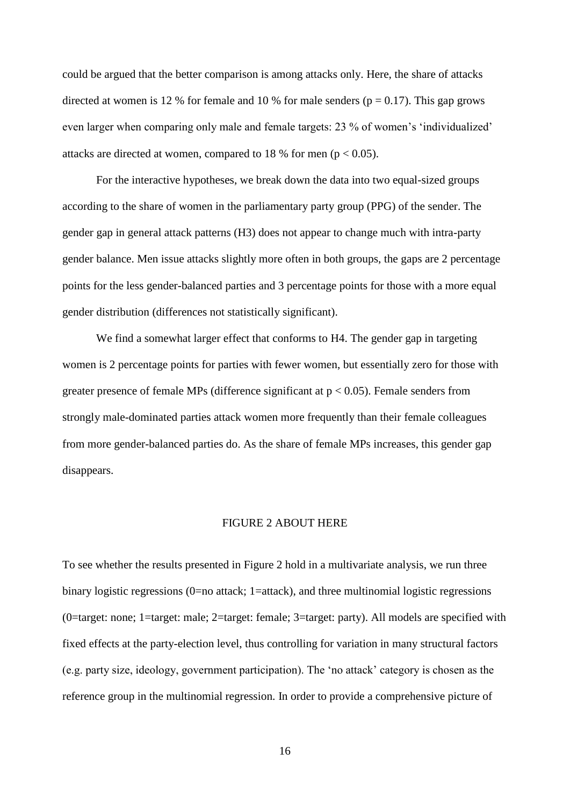could be argued that the better comparison is among attacks only. Here, the share of attacks directed at women is 12 % for female and 10 % for male senders ( $p = 0.17$ ). This gap grows even larger when comparing only male and female targets: 23 % of women's 'individualized' attacks are directed at women, compared to 18 % for men ( $p < 0.05$ ).

For the interactive hypotheses, we break down the data into two equal-sized groups according to the share of women in the parliamentary party group (PPG) of the sender. The gender gap in general attack patterns (H3) does not appear to change much with intra-party gender balance. Men issue attacks slightly more often in both groups, the gaps are 2 percentage points for the less gender-balanced parties and 3 percentage points for those with a more equal gender distribution (differences not statistically significant).

We find a somewhat larger effect that conforms to H4. The gender gap in targeting women is 2 percentage points for parties with fewer women, but essentially zero for those with greater presence of female MPs (difference significant at  $p < 0.05$ ). Female senders from strongly male-dominated parties attack women more frequently than their female colleagues from more gender-balanced parties do. As the share of female MPs increases, this gender gap disappears.

#### FIGURE 2 ABOUT HERE

To see whether the results presented in Figure 2 hold in a multivariate analysis, we run three binary logistic regressions (0=no attack; 1=attack), and three multinomial logistic regressions (0=target: none; 1=target: male; 2=target: female; 3=target: party). All models are specified with fixed effects at the party-election level, thus controlling for variation in many structural factors (e.g. party size, ideology, government participation). The ‗no attack' category is chosen as the reference group in the multinomial regression. In order to provide a comprehensive picture of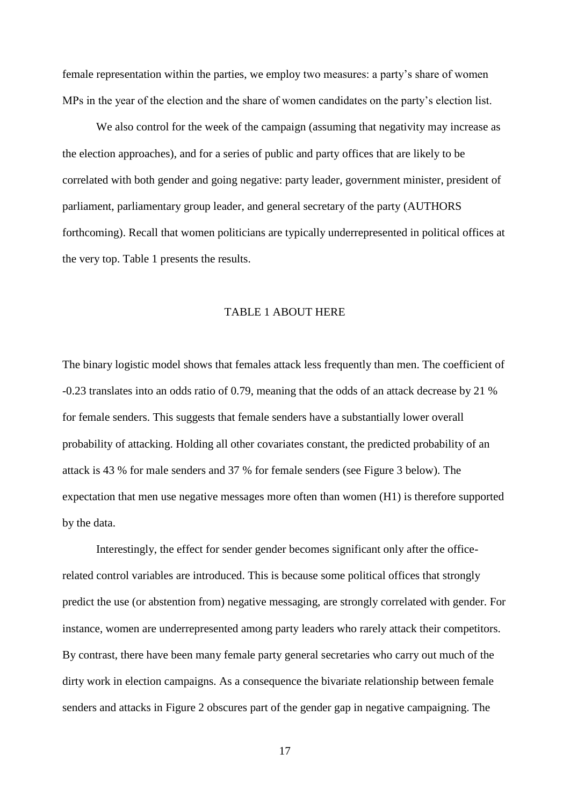female representation within the parties, we employ two measures: a party's share of women MPs in the year of the election and the share of women candidates on the party's election list.

We also control for the week of the campaign (assuming that negativity may increase as the election approaches), and for a series of public and party offices that are likely to be correlated with both gender and going negative: party leader, government minister, president of parliament, parliamentary group leader, and general secretary of the party (AUTHORS forthcoming). Recall that women politicians are typically underrepresented in political offices at the very top. Table 1 presents the results.

### TABLE 1 ABOUT HERE

The binary logistic model shows that females attack less frequently than men. The coefficient of -0.23 translates into an odds ratio of 0.79, meaning that the odds of an attack decrease by 21 % for female senders. This suggests that female senders have a substantially lower overall probability of attacking. Holding all other covariates constant, the predicted probability of an attack is 43 % for male senders and 37 % for female senders (see Figure 3 below). The expectation that men use negative messages more often than women (H1) is therefore supported by the data.

Interestingly, the effect for sender gender becomes significant only after the officerelated control variables are introduced. This is because some political offices that strongly predict the use (or abstention from) negative messaging, are strongly correlated with gender. For instance, women are underrepresented among party leaders who rarely attack their competitors. By contrast, there have been many female party general secretaries who carry out much of the dirty work in election campaigns. As a consequence the bivariate relationship between female senders and attacks in Figure 2 obscures part of the gender gap in negative campaigning. The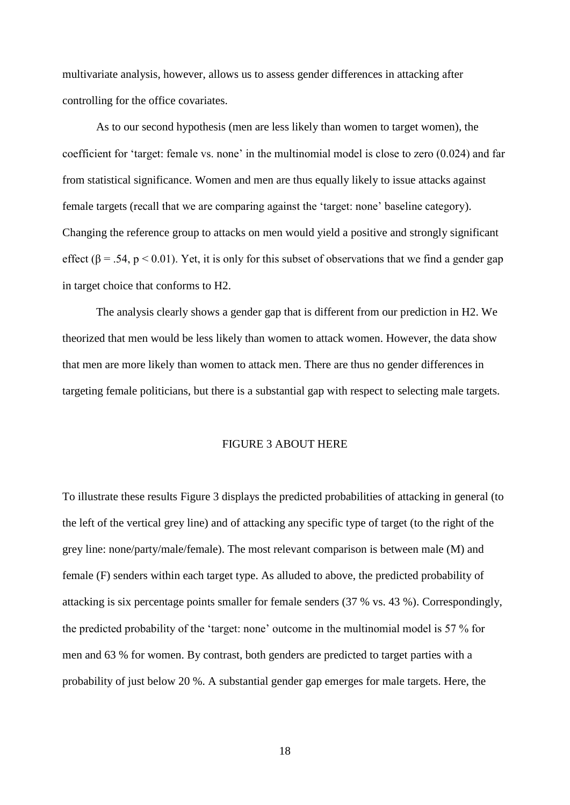multivariate analysis, however, allows us to assess gender differences in attacking after controlling for the office covariates.

As to our second hypothesis (men are less likely than women to target women), the coefficient for 'target: female vs. none' in the multinomial model is close to zero  $(0.024)$  and far from statistical significance. Women and men are thus equally likely to issue attacks against female targets (recall that we are comparing against the 'target: none' baseline category). Changing the reference group to attacks on men would yield a positive and strongly significant effect ( $\beta$  = .54, p < 0.01). Yet, it is only for this subset of observations that we find a gender gap in target choice that conforms to H2.

The analysis clearly shows a gender gap that is different from our prediction in H2. We theorized that men would be less likely than women to attack women. However, the data show that men are more likely than women to attack men. There are thus no gender differences in targeting female politicians, but there is a substantial gap with respect to selecting male targets.

### FIGURE 3 ABOUT HERE

To illustrate these results Figure 3 displays the predicted probabilities of attacking in general (to the left of the vertical grey line) and of attacking any specific type of target (to the right of the grey line: none/party/male/female). The most relevant comparison is between male (M) and female (F) senders within each target type. As alluded to above, the predicted probability of attacking is six percentage points smaller for female senders (37 % vs. 43 %). Correspondingly, the predicted probability of the 'target: none' outcome in the multinomial model is 57 % for men and 63 % for women. By contrast, both genders are predicted to target parties with a probability of just below 20 %. A substantial gender gap emerges for male targets. Here, the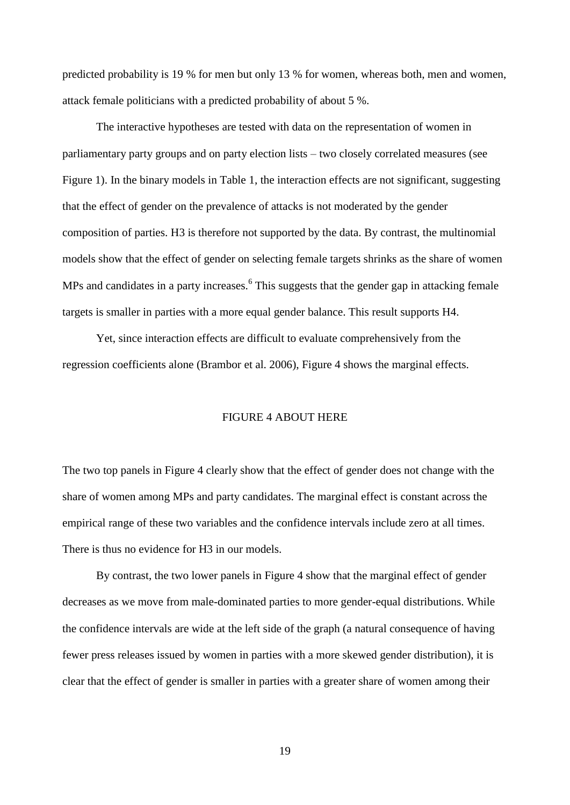predicted probability is 19 % for men but only 13 % for women, whereas both, men and women, attack female politicians with a predicted probability of about 5 %.

The interactive hypotheses are tested with data on the representation of women in parliamentary party groups and on party election lists – two closely correlated measures (see Figure 1). In the binary models in Table 1, the interaction effects are not significant, suggesting that the effect of gender on the prevalence of attacks is not moderated by the gender composition of parties. H3 is therefore not supported by the data. By contrast, the multinomial models show that the effect of gender on selecting female targets shrinks as the share of women MPs and candidates in a party increases.<sup>6</sup> This suggests that the gender gap in attacking female targets is smaller in parties with a more equal gender balance. This result supports H4.

Yet, since interaction effects are difficult to evaluate comprehensively from the regression coefficients alone (Brambor et al. 2006), Figure 4 shows the marginal effects.

#### FIGURE 4 ABOUT HERE

The two top panels in Figure 4 clearly show that the effect of gender does not change with the share of women among MPs and party candidates. The marginal effect is constant across the empirical range of these two variables and the confidence intervals include zero at all times. There is thus no evidence for H3 in our models.

By contrast, the two lower panels in Figure 4 show that the marginal effect of gender decreases as we move from male-dominated parties to more gender-equal distributions. While the confidence intervals are wide at the left side of the graph (a natural consequence of having fewer press releases issued by women in parties with a more skewed gender distribution), it is clear that the effect of gender is smaller in parties with a greater share of women among their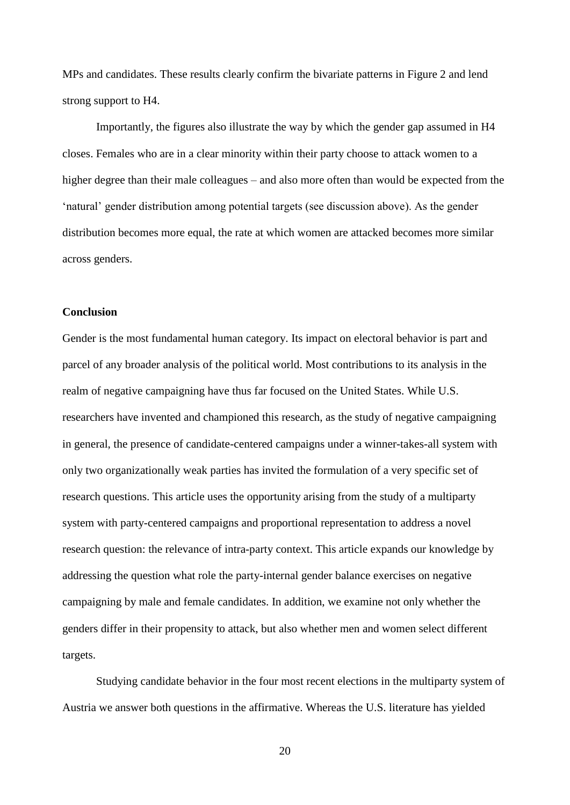MPs and candidates. These results clearly confirm the bivariate patterns in Figure 2 and lend strong support to H4.

Importantly, the figures also illustrate the way by which the gender gap assumed in H4 closes. Females who are in a clear minority within their party choose to attack women to a higher degree than their male colleagues – and also more often than would be expected from the ‗natural' gender distribution among potential targets (see discussion above). As the gender distribution becomes more equal, the rate at which women are attacked becomes more similar across genders.

## **Conclusion**

Gender is the most fundamental human category. Its impact on electoral behavior is part and parcel of any broader analysis of the political world. Most contributions to its analysis in the realm of negative campaigning have thus far focused on the United States. While U.S. researchers have invented and championed this research, as the study of negative campaigning in general, the presence of candidate-centered campaigns under a winner-takes-all system with only two organizationally weak parties has invited the formulation of a very specific set of research questions. This article uses the opportunity arising from the study of a multiparty system with party-centered campaigns and proportional representation to address a novel research question: the relevance of intra-party context. This article expands our knowledge by addressing the question what role the party-internal gender balance exercises on negative campaigning by male and female candidates. In addition, we examine not only whether the genders differ in their propensity to attack, but also whether men and women select different targets.

Studying candidate behavior in the four most recent elections in the multiparty system of Austria we answer both questions in the affirmative. Whereas the U.S. literature has yielded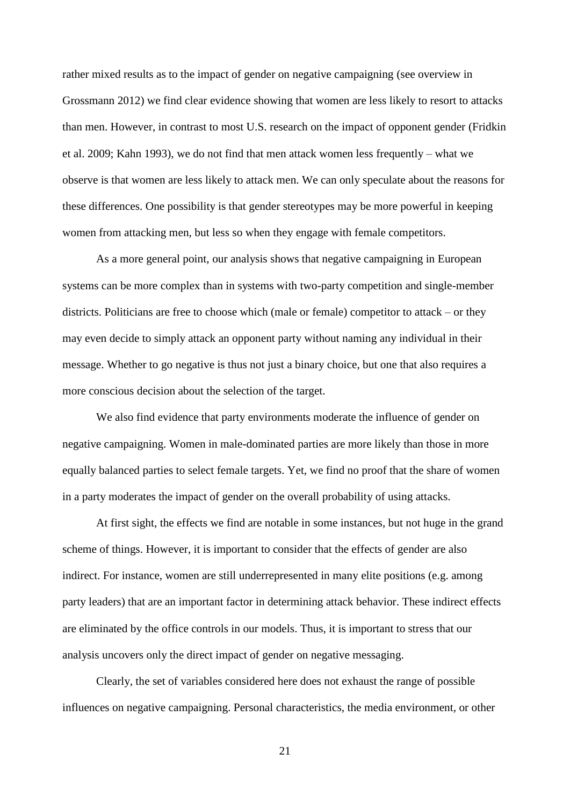rather mixed results as to the impact of gender on negative campaigning (see overview in Grossmann 2012) we find clear evidence showing that women are less likely to resort to attacks than men. However, in contrast to most U.S. research on the impact of opponent gender (Fridkin et al. 2009; Kahn 1993), we do not find that men attack women less frequently – what we observe is that women are less likely to attack men. We can only speculate about the reasons for these differences. One possibility is that gender stereotypes may be more powerful in keeping women from attacking men, but less so when they engage with female competitors.

As a more general point, our analysis shows that negative campaigning in European systems can be more complex than in systems with two-party competition and single-member districts. Politicians are free to choose which (male or female) competitor to attack – or they may even decide to simply attack an opponent party without naming any individual in their message. Whether to go negative is thus not just a binary choice, but one that also requires a more conscious decision about the selection of the target.

We also find evidence that party environments moderate the influence of gender on negative campaigning. Women in male-dominated parties are more likely than those in more equally balanced parties to select female targets. Yet, we find no proof that the share of women in a party moderates the impact of gender on the overall probability of using attacks.

At first sight, the effects we find are notable in some instances, but not huge in the grand scheme of things. However, it is important to consider that the effects of gender are also indirect. For instance, women are still underrepresented in many elite positions (e.g. among party leaders) that are an important factor in determining attack behavior. These indirect effects are eliminated by the office controls in our models. Thus, it is important to stress that our analysis uncovers only the direct impact of gender on negative messaging.

Clearly, the set of variables considered here does not exhaust the range of possible influences on negative campaigning. Personal characteristics, the media environment, or other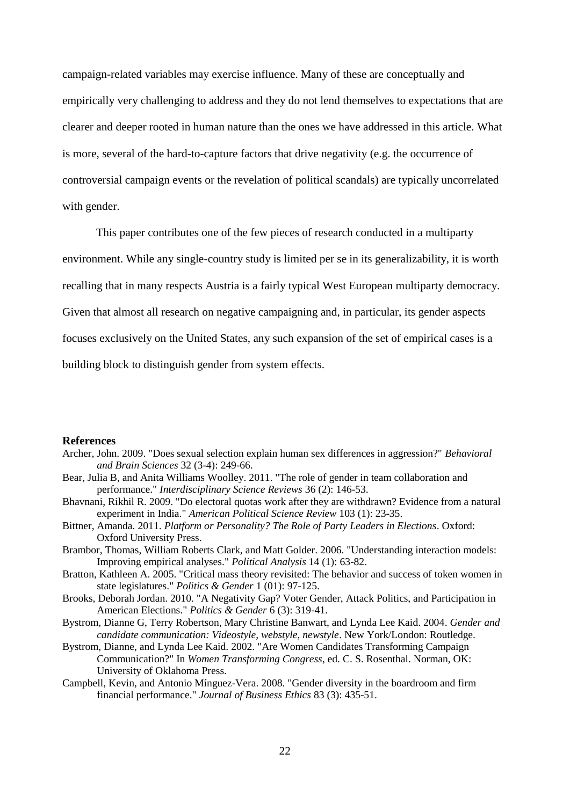campaign-related variables may exercise influence. Many of these are conceptually and empirically very challenging to address and they do not lend themselves to expectations that are clearer and deeper rooted in human nature than the ones we have addressed in this article. What is more, several of the hard-to-capture factors that drive negativity (e.g. the occurrence of controversial campaign events or the revelation of political scandals) are typically uncorrelated with gender.

This paper contributes one of the few pieces of research conducted in a multiparty

environment. While any single-country study is limited per se in its generalizability, it is worth

recalling that in many respects Austria is a fairly typical West European multiparty democracy.

Given that almost all research on negative campaigning and, in particular, its gender aspects

focuses exclusively on the United States, any such expansion of the set of empirical cases is a

building block to distinguish gender from system effects.

#### **References**

- Archer, John. 2009. "Does sexual selection explain human sex differences in aggression?" *Behavioral and Brain Sciences* 32 (3-4): 249-66.
- Bear, Julia B, and Anita Williams Woolley. 2011. "The role of gender in team collaboration and performance." *Interdisciplinary Science Reviews* 36 (2): 146-53.
- Bhavnani, Rikhil R. 2009. "Do electoral quotas work after they are withdrawn? Evidence from a natural experiment in India." *American Political Science Review* 103 (1): 23-35.
- Bittner, Amanda. 2011. *Platform or Personality? The Role of Party Leaders in Elections*. Oxford: Oxford University Press.
- Brambor, Thomas, William Roberts Clark, and Matt Golder. 2006. "Understanding interaction models: Improving empirical analyses." *Political Analysis* 14 (1): 63-82.
- Bratton, Kathleen A. 2005. "Critical mass theory revisited: The behavior and success of token women in state legislatures." *Politics & Gender* 1 (01): 97-125.
- Brooks, Deborah Jordan. 2010. "A Negativity Gap? Voter Gender, Attack Politics, and Participation in American Elections." *Politics & Gender* 6 (3): 319-41.
- Bystrom, Dianne G, Terry Robertson, Mary Christine Banwart, and Lynda Lee Kaid. 2004. *Gender and candidate communication: Videostyle, webstyle, newstyle*. New York/London: Routledge.
- Bystrom, Dianne, and Lynda Lee Kaid. 2002. "Are Women Candidates Transforming Campaign Communication?" In *Women Transforming Congress*, ed. C. S. Rosenthal. Norman, OK: University of Oklahoma Press.
- Campbell, Kevin, and Antonio Mínguez-Vera. 2008. "Gender diversity in the boardroom and firm financial performance." *Journal of Business Ethics* 83 (3): 435-51.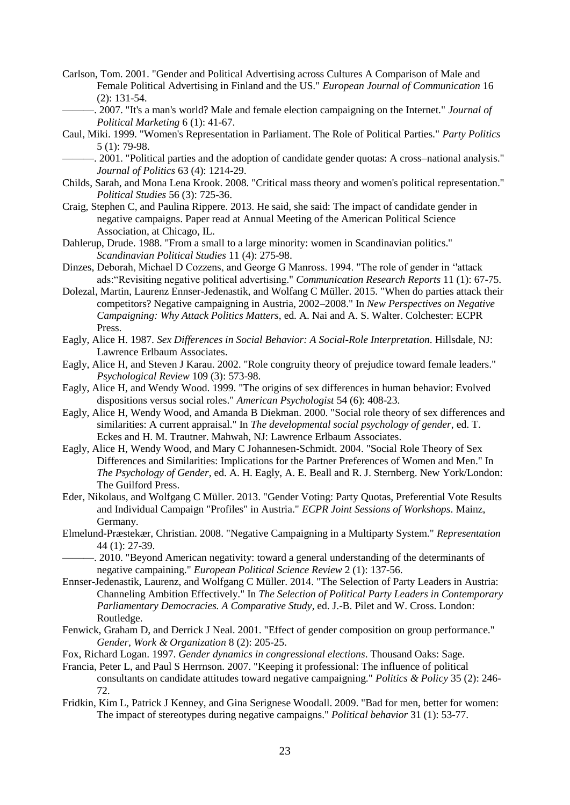- Carlson, Tom. 2001. "Gender and Political Advertising across Cultures A Comparison of Male and Female Political Advertising in Finland and the US." *European Journal of Communication* 16 (2): 131-54.
	- ———. 2007. "It's a man's world? Male and female election campaigning on the Internet." *Journal of Political Marketing* 6 (1): 41-67.
- Caul, Miki. 1999. "Women's Representation in Parliament. The Role of Political Parties." *Party Politics* 5 (1): 79-98.

———. 2001. "Political parties and the adoption of candidate gender quotas: A cross–national analysis." *Journal of Politics* 63 (4): 1214-29.

- Childs, Sarah, and Mona Lena Krook. 2008. "Critical mass theory and women's political representation." *Political Studies* 56 (3): 725-36.
- Craig, Stephen C, and Paulina Rippere. 2013. He said, she said: The impact of candidate gender in negative campaigns. Paper read at Annual Meeting of the American Political Science Association, at Chicago, IL.
- Dahlerup, Drude. 1988. "From a small to a large minority: women in Scandinavian politics." *Scandinavian Political Studies* 11 (4): 275-98.
- Dinzes, Deborah, Michael D Cozzens, and George G Manross. 1994. "The role of gender in "attack ads:―Revisiting negative political advertising." *Communication Research Reports* 11 (1): 67-75.
- Dolezal, Martin, Laurenz Ennser-Jedenastik, and Wolfang C Müller. 2015. "When do parties attack their competitors? Negative campaigning in Austria, 2002–2008." In *New Perspectives on Negative Campaigning: Why Attack Politics Matters*, ed. A. Nai and A. S. Walter. Colchester: ECPR Press.
- Eagly, Alice H. 1987. *Sex Differences in Social Behavior: A Social-Role Interpretation*. Hillsdale, NJ: Lawrence Erlbaum Associates.
- Eagly, Alice H, and Steven J Karau. 2002. "Role congruity theory of prejudice toward female leaders." *Psychological Review* 109 (3): 573-98.
- Eagly, Alice H, and Wendy Wood. 1999. "The origins of sex differences in human behavior: Evolved dispositions versus social roles." *American Psychologist* 54 (6): 408-23.
- Eagly, Alice H, Wendy Wood, and Amanda B Diekman. 2000. "Social role theory of sex differences and similarities: A current appraisal." In *The developmental social psychology of gender*, ed. T. Eckes and H. M. Trautner. Mahwah, NJ: Lawrence Erlbaum Associates.
- Eagly, Alice H, Wendy Wood, and Mary C Johannesen-Schmidt. 2004. "Social Role Theory of Sex Differences and Similarities: Implications for the Partner Preferences of Women and Men." In *The Psychology of Gender*, ed. A. H. Eagly, A. E. Beall and R. J. Sternberg. New York/London: The Guilford Press.
- Eder, Nikolaus, and Wolfgang C Müller. 2013. "Gender Voting: Party Quotas, Preferential Vote Results and Individual Campaign "Profiles" in Austria." *ECPR Joint Sessions of Workshops*. Mainz, Germany.
- Elmelund-Præstekær, Christian. 2008. "Negative Campaigning in a Multiparty System." *Representation* 44 (1): 27-39.
- ———. 2010. "Beyond American negativity: toward a general understanding of the determinants of negative campaining." *European Political Science Review* 2 (1): 137-56.
- Ennser-Jedenastik, Laurenz, and Wolfgang C Müller. 2014. "The Selection of Party Leaders in Austria: Channeling Ambition Effectively." In *The Selection of Political Party Leaders in Contemporary Parliamentary Democracies. A Comparative Study*, ed. J.-B. Pilet and W. Cross. London: Routledge.
- Fenwick, Graham D, and Derrick J Neal. 2001. "Effect of gender composition on group performance." *Gender, Work & Organization* 8 (2): 205-25.
- Fox, Richard Logan. 1997. *Gender dynamics in congressional elections*. Thousand Oaks: Sage.
- Francia, Peter L, and Paul S Herrnson. 2007. "Keeping it professional: The influence of political consultants on candidate attitudes toward negative campaigning." *Politics & Policy* 35 (2): 246- 72.
- Fridkin, Kim L, Patrick J Kenney, and Gina Serignese Woodall. 2009. "Bad for men, better for women: The impact of stereotypes during negative campaigns." *Political behavior* 31 (1): 53-77.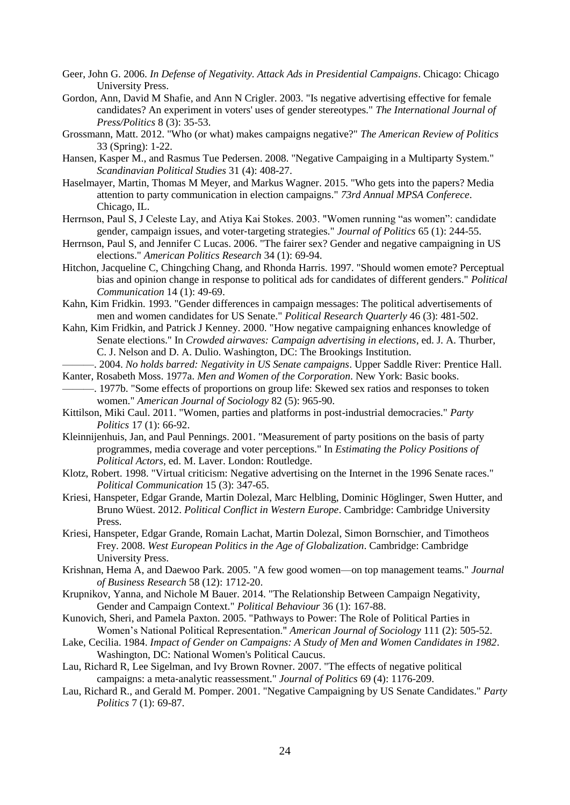- Geer, John G. 2006. *In Defense of Negativity. Attack Ads in Presidential Campaigns*. Chicago: Chicago University Press.
- Gordon, Ann, David M Shafie, and Ann N Crigler. 2003. "Is negative advertising effective for female candidates? An experiment in voters' uses of gender stereotypes." *The International Journal of Press/Politics* 8 (3): 35-53.
- Grossmann, Matt. 2012. "Who (or what) makes campaigns negative?" *The American Review of Politics* 33 (Spring): 1-22.
- Hansen, Kasper M., and Rasmus Tue Pedersen. 2008. "Negative Campaiging in a Multiparty System." *Scandinavian Political Studies* 31 (4): 408-27.
- Haselmayer, Martin, Thomas M Meyer, and Markus Wagner. 2015. "Who gets into the papers? Media attention to party communication in election campaigns." *73rd Annual MPSA Conferece*. Chicago, IL.
- Herrnson, Paul S, J Celeste Lay, and Atiya Kai Stokes. 2003. "Women running "as women": candidate gender, campaign issues, and voter‐targeting strategies." *Journal of Politics* 65 (1): 244-55.
- Herrnson, Paul S, and Jennifer C Lucas. 2006. "The fairer sex? Gender and negative campaigning in US elections." *American Politics Research* 34 (1): 69-94.
- Hitchon, Jacqueline C, Chingching Chang, and Rhonda Harris. 1997. "Should women emote? Perceptual bias and opinion change in response to political ads for candidates of different genders." *Political Communication* 14 (1): 49-69.
- Kahn, Kim Fridkin. 1993. "Gender differences in campaign messages: The political advertisements of men and women candidates for US Senate." *Political Research Quarterly* 46 (3): 481-502.
- Kahn, Kim Fridkin, and Patrick J Kenney. 2000. "How negative campaigning enhances knowledge of Senate elections." In *Crowded airwaves: Campaign advertising in elections*, ed. J. A. Thurber, C. J. Nelson and D. A. Dulio. Washington, DC: The Brookings Institution.
- ———. 2004. *No holds barred: Negativity in US Senate campaigns*. Upper Saddle River: Prentice Hall. Kanter, Rosabeth Moss. 1977a. *Men and Women of the Corporation*. New York: Basic books.
- ———. 1977b. "Some effects of proportions on group life: Skewed sex ratios and responses to token women." *American Journal of Sociology* 82 (5): 965-90.
- Kittilson, Miki Caul. 2011. "Women, parties and platforms in post-industrial democracies." *Party Politics* 17 (1): 66-92.
- Kleinnijenhuis, Jan, and Paul Pennings. 2001. "Measurement of party positions on the basis of party programmes, media coverage and voter perceptions." In *Estimating the Policy Positions of Political Actors*, ed. M. Laver. London: Routledge.
- Klotz, Robert. 1998. "Virtual criticism: Negative advertising on the Internet in the 1996 Senate races." *Political Communication* 15 (3): 347-65.
- Kriesi, Hanspeter, Edgar Grande, Martin Dolezal, Marc Helbling, Dominic Höglinger, Swen Hutter, and Bruno Wüest. 2012. *Political Conflict in Western Europe*. Cambridge: Cambridge University Press.
- Kriesi, Hanspeter, Edgar Grande, Romain Lachat, Martin Dolezal, Simon Bornschier, and Timotheos Frey. 2008. *West European Politics in the Age of Globalization*. Cambridge: Cambridge University Press.
- Krishnan, Hema A, and Daewoo Park. 2005. "A few good women—on top management teams." *Journal of Business Research* 58 (12): 1712-20.
- Krupnikov, Yanna, and Nichole M Bauer. 2014. "The Relationship Between Campaign Negativity, Gender and Campaign Context." *Political Behaviour* 36 (1): 167-88.
- Kunovich, Sheri, and Pamela Paxton. 2005. "Pathways to Power: The Role of Political Parties in Women's National Political Representation." *American Journal of Sociology* 111 (2): 505-52.
- Lake, Cecilia. 1984. *Impact of Gender on Campaigns: A Study of Men and Women Candidates in 1982*. Washington, DC: National Women's Political Caucus.
- Lau, Richard R, Lee Sigelman, and Ivy Brown Rovner. 2007. "The effects of negative political campaigns: a meta‐analytic reassessment." *Journal of Politics* 69 (4): 1176-209.
- Lau, Richard R., and Gerald M. Pomper. 2001. "Negative Campaigning by US Senate Candidates." *Party Politics* 7 (1): 69-87.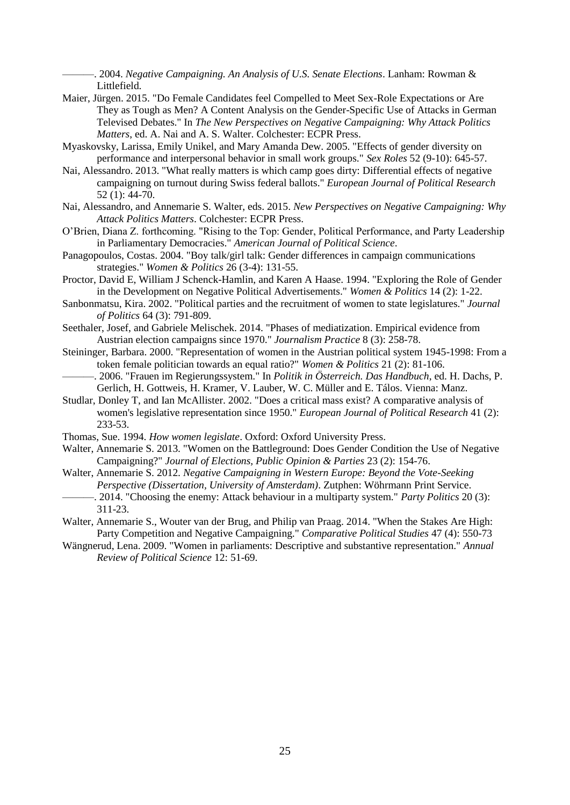———. 2004. *Negative Campaigning. An Analysis of U.S. Senate Elections*. Lanham: Rowman & Littlefield.

- Maier, Jürgen. 2015. "Do Female Candidates feel Compelled to Meet Sex-Role Expectations or Are They as Tough as Men? A Content Analysis on the Gender-Specific Use of Attacks in German Televised Debates." In *The New Perspectives on Negative Campaigning: Why Attack Politics Matters*, ed. A. Nai and A. S. Walter. Colchester: ECPR Press.
- Myaskovsky, Larissa, Emily Unikel, and Mary Amanda Dew. 2005. "Effects of gender diversity on performance and interpersonal behavior in small work groups." *Sex Roles* 52 (9-10): 645-57.
- Nai, Alessandro. 2013. "What really matters is which camp goes dirty: Differential effects of negative campaigning on turnout during Swiss federal ballots." *European Journal of Political Research* 52 (1): 44-70.
- Nai, Alessandro, and Annemarie S. Walter, eds. 2015. *New Perspectives on Negative Campaigning: Why Attack Politics Matters*. Colchester: ECPR Press.

O'Brien, Diana Z. forthcoming. "Rising to the Top: Gender, Political Performance, and Party Leadership in Parliamentary Democracies." *American Journal of Political Science*.

- Panagopoulos, Costas. 2004. "Boy talk/girl talk: Gender differences in campaign communications strategies." *Women & Politics* 26 (3-4): 131-55.
- Proctor, David E, William J Schenck-Hamlin, and Karen A Haase. 1994. "Exploring the Role of Gender in the Development on Negative Political Advertisements." *Women & Politics* 14 (2): 1-22.
- Sanbonmatsu, Kira. 2002. "Political parties and the recruitment of women to state legislatures." *Journal of Politics* 64 (3): 791-809.
- Seethaler, Josef, and Gabriele Melischek. 2014. "Phases of mediatization. Empirical evidence from Austrian election campaigns since 1970." *Journalism Practice* 8 (3): 258-78.
- Steininger, Barbara. 2000. "Representation of women in the Austrian political system 1945-1998: From a token female politician towards an equal ratio?" *Women & Politics* 21 (2): 81-106.
- ———. 2006. "Frauen im Regierungssystem." In *Politik in Österreich. Das Handbuch*, ed. H. Dachs, P. Gerlich, H. Gottweis, H. Kramer, V. Lauber, W. C. Müller and E. Tálos. Vienna: Manz.
- Studlar, Donley T, and Ian McAllister. 2002. "Does a critical mass exist? A comparative analysis of women's legislative representation since 1950." *European Journal of Political Research* 41 (2): 233-53.
- Thomas, Sue. 1994. *How women legislate*. Oxford: Oxford University Press.
- Walter, Annemarie S. 2013. "Women on the Battleground: Does Gender Condition the Use of Negative Campaigning?" *Journal of Elections, Public Opinion & Parties* 23 (2): 154-76.
- Walter, Annemarie S. 2012. *Negative Campaigning in Western Europe: Beyond the Vote-Seeking Perspective (Dissertation, University of Amsterdam)*. Zutphen: Wöhrmann Print Service. ———. 2014. "Choosing the enemy: Attack behaviour in a multiparty system." *Party Politics* 20 (3): 311-23.

Walter, Annemarie S., Wouter van der Brug, and Philip van Praag. 2014. "When the Stakes Are High: Party Competition and Negative Campaigning." *Comparative Political Studies* 47 (4): 550-73

Wängnerud, Lena. 2009. "Women in parliaments: Descriptive and substantive representation." *Annual Review of Political Science* 12: 51-69.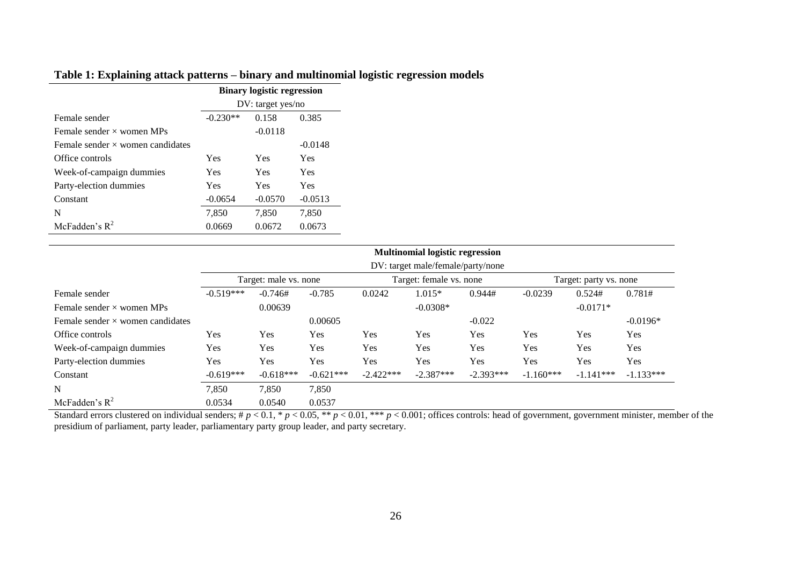|                                         | <b>Binary logistic regression</b> |            |           |  |  |  |
|-----------------------------------------|-----------------------------------|------------|-----------|--|--|--|
|                                         | $DV:$ target yes/no               |            |           |  |  |  |
| Female sender                           | $-0.230**$                        | 0.158      | 0.385     |  |  |  |
| Female sender $\times$ women MPs        |                                   | $-0.0118$  |           |  |  |  |
| Female sender $\times$ women candidates |                                   |            | $-0.0148$ |  |  |  |
| Office controls                         | Yes                               | <b>Yes</b> | Yes       |  |  |  |
| Week-of-campaign dummies                | <b>Yes</b>                        | <b>Yes</b> | Yes       |  |  |  |
| Party-election dummies                  | Yes                               | Yes        | Yes       |  |  |  |
| Constant                                | $-0.0654$                         | $-0.0570$  | $-0.0513$ |  |  |  |
| N                                       | 7,850                             | 7,850      | 7,850     |  |  |  |
| McFadden's $R^2$                        | 0.0669                            | 0.0672     | 0.0673    |  |  |  |

# **Table 1: Explaining attack patterns – binary and multinomial logistic regression models**

|                                         | <b>Multinomial logistic regression</b><br>DV: target male/female/party/none |             |             |                         |             |             |                        |             |             |  |
|-----------------------------------------|-----------------------------------------------------------------------------|-------------|-------------|-------------------------|-------------|-------------|------------------------|-------------|-------------|--|
|                                         | Target: male vs. none                                                       |             |             | Target: female vs. none |             |             | Target: party vs. none |             |             |  |
| Female sender                           | $-0.519***$                                                                 | $-0.746#$   | $-0.785$    | 0.0242                  | 1.015*      | 0.944#      | $-0.0239$              | 0.524#      | 0.781#      |  |
| Female sender $\times$ women MPs        |                                                                             | 0.00639     |             |                         | $-0.0308*$  |             |                        | $-0.0171*$  |             |  |
| Female sender $\times$ women candidates |                                                                             |             | 0.00605     |                         |             | $-0.022$    |                        |             | $-0.0196*$  |  |
| Office controls                         | Yes                                                                         | Yes         | <b>Yes</b>  | Yes                     | Yes         | <b>Yes</b>  | Yes                    | Yes         | Yes         |  |
| Week-of-campaign dummies                | Yes                                                                         | Yes         | <b>Yes</b>  | Yes                     | Yes         | <b>Yes</b>  | Yes                    | Yes         | Yes         |  |
| Party-election dummies                  | Yes                                                                         | Yes         | Yes         | Yes                     | Yes         | Yes         | Yes                    | Yes         | Yes         |  |
| Constant                                | $-0.619***$                                                                 | $-0.618***$ | $-0.621***$ | $-2.422***$             | $-2.387***$ | $-2.393***$ | $-1.160***$            | $-1.141***$ | $-1.133***$ |  |
| N                                       | 7,850                                                                       | 7,850       | 7,850       |                         |             |             |                        |             |             |  |
| McFadden's $R^2$                        | 0.0534                                                                      | 0.0540      | 0.0537      |                         |             |             |                        |             |             |  |

Standard errors clustered on individual senders;  $\# p < 0.1$ ,  $\# p < 0.05$ ,  $\# p < 0.01$ ,  $\# p < 0.001$ ; offices controls: head of government, government minister, member of the presidium of parliament, party leader, parliamentary party group leader, and party secretary.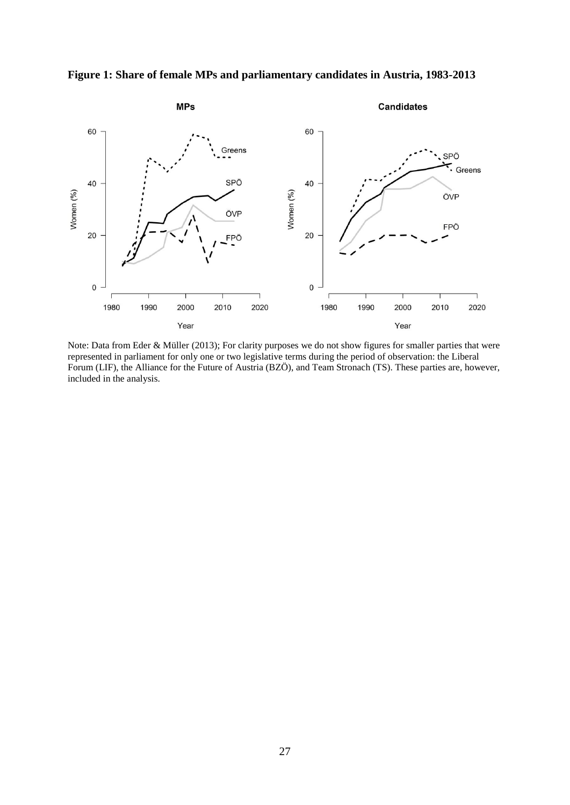

**Figure 1: Share of female MPs and parliamentary candidates in Austria, 1983-2013**

Note: Data from Eder & Müller (2013); For clarity purposes we do not show figures for smaller parties that were represented in parliament for only one or two legislative terms during the period of observation: the Liberal Forum (LIF), the Alliance for the Future of Austria (BZÖ), and Team Stronach (TS). These parties are, however, included in the analysis.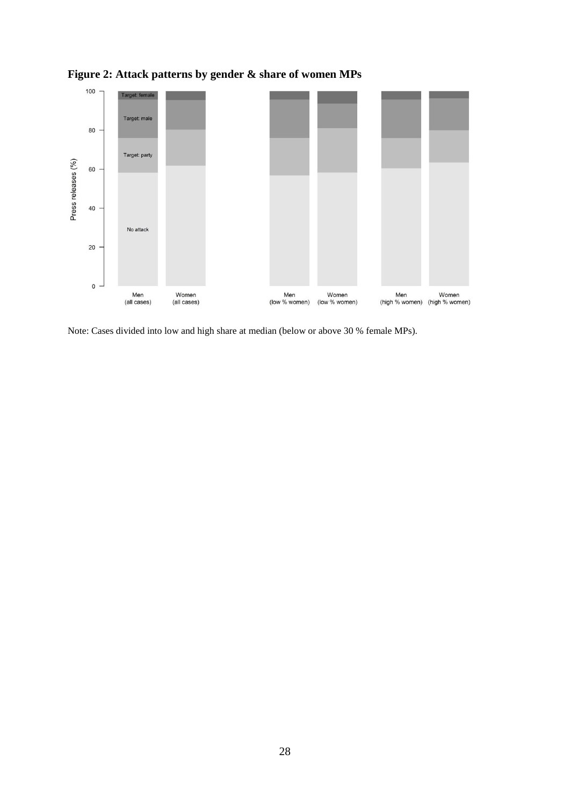

**Figure 2: Attack patterns by gender & share of women MPs**

Note: Cases divided into low and high share at median (below or above 30 % female MPs).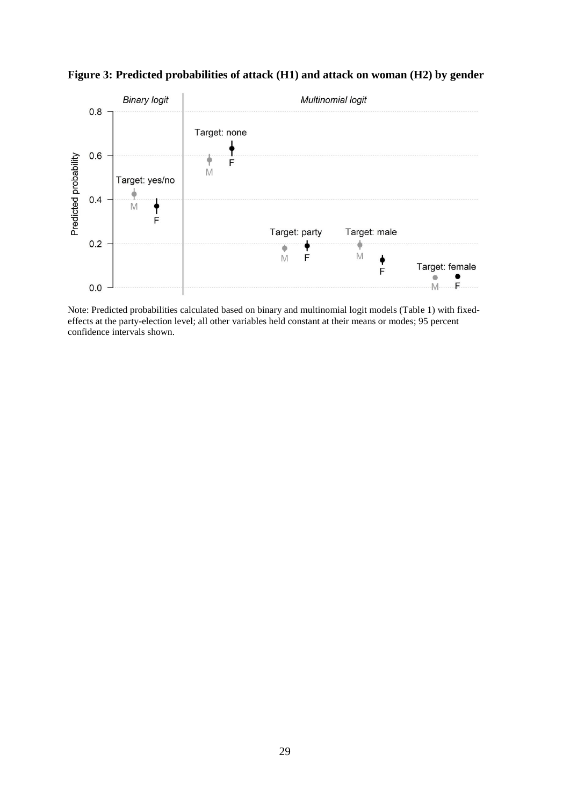



Note: Predicted probabilities calculated based on binary and multinomial logit models (Table 1) with fixedeffects at the party-election level; all other variables held constant at their means or modes; 95 percent confidence intervals shown.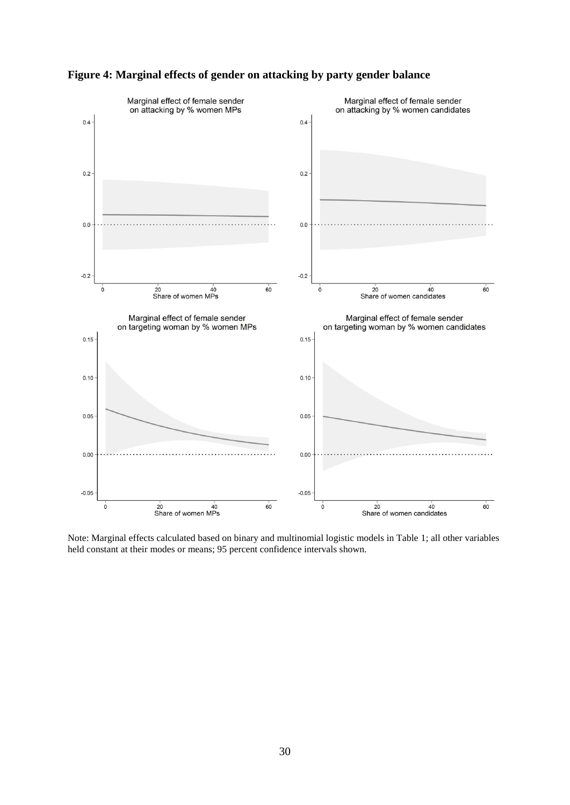

**Figure 4: Marginal effects of gender on attacking by party gender balance**

Note: Marginal effects calculated based on binary and multinomial logistic models in Table 1; all other variables held constant at their modes or means; 95 percent confidence intervals shown.